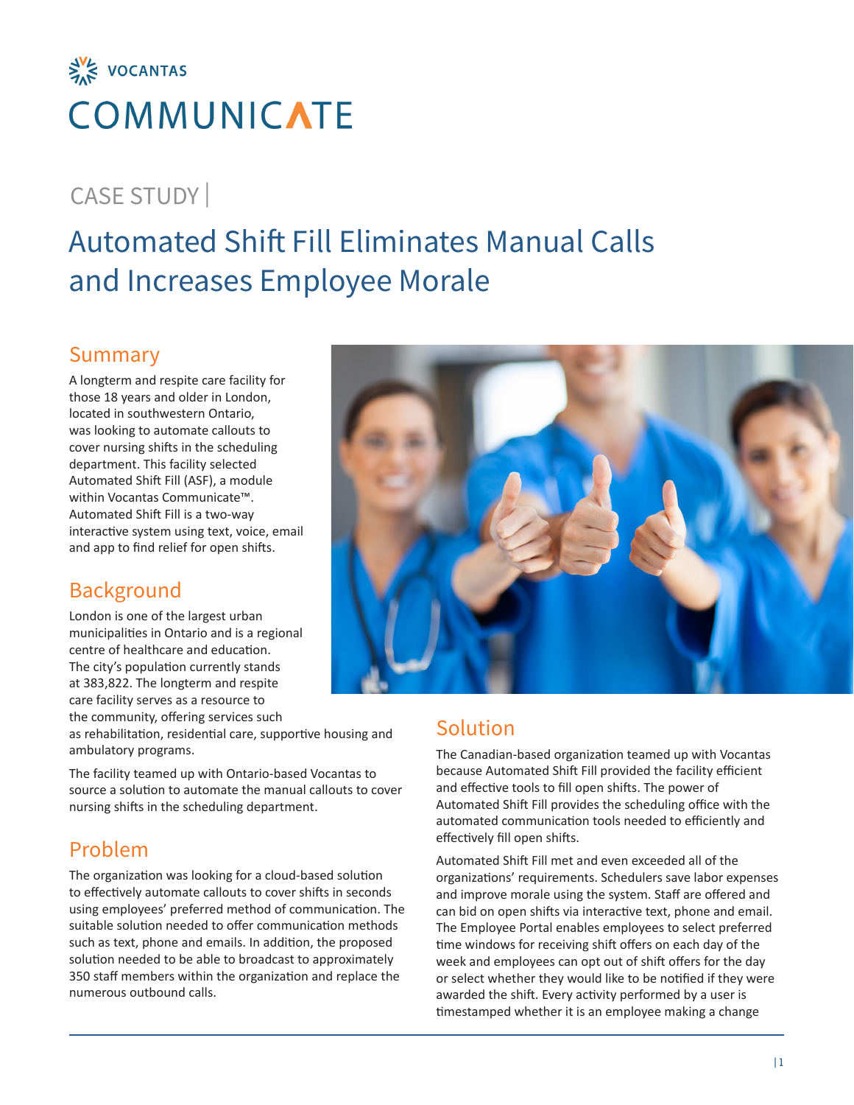

# CASE STUDY |

# Automated Shift Fill Eliminates Manual Calls and Increases Employee Morale

#### Summary

A longterm and respite care facility for those 18 years and older in London, located in southwestern Ontario, was looking to automate callouts to cover nursing shifts in the scheduling department. This facility selected Automated Shift Fill (ASF), a module within Vocantas Communicate™. Automated Shift Fill is a two-way interactive system using text, voice, email and app to find relief for open shifts.

#### Background

London is one of the largest urban municipalities in Ontario and is a regional centre of healthcare and education. The city's population currently stands at 383,822. The longterm and respite care facility serves as a resource to the community, offering services such

as rehabilitation, residential care, supportive housing and ambulatory programs.

The facility teamed up with Ontario-based Vocantas to source a solution to automate the manual callouts to cover nursing shifts in the scheduling department.

### Problem

The organization was looking for a cloud-based solution to effectively automate callouts to cover shifts in seconds using employees' preferred method of communication. The suitable solution needed to offer communication methods such as text, phone and emails. In addition, the proposed solution needed to be able to broadcast to approximately 350 staff members within the organization and replace the numerous outbound calls.



#### Solution

The Canadian-based organization teamed up with Vocantas because Automated Shift Fill provided the facility efficient and effective tools to fill open shifts. The power of Automated Shift Fill provides the scheduling office with the automated communication tools needed to efficiently and effectively fill open shifts.

Automated Shift Fill met and even exceeded all of the organizations' requirements. Schedulers save labor expenses and improve morale using the system. Staff are offered and can bid on open shifts via interactive text, phone and email. The Employee Portal enables employees to select preferred time windows for receiving shift offers on each day of the week and employees can opt out of shift offers for the day or select whether they would like to be notified if they were awarded the shift. Every activity performed by a user is timestamped whether it is an employee making a change